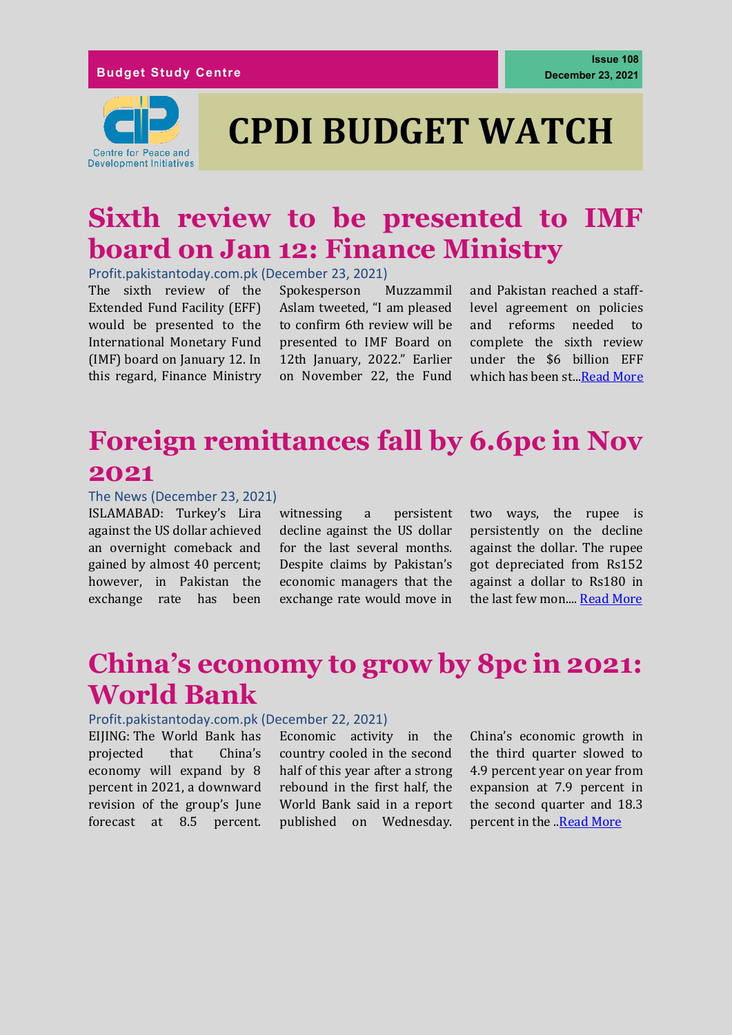

# **CPDI BUDGET WATCH**

## **Sixth review to be presented to IMF board on Jan 12: Finance Ministry**

Profit.pakistantoday.com.pk (December 23, 2021)

The sixth review of the Extended Fund Facility (EFF) would be presented to the International Monetary Fund (IMF) board on January 12. In this regard, Finance Ministry

Spokesperson Muzzammil Aslam tweeted, "I am pleased to confirm 6th review will be presented to IMF Board on 12th January, 2022." Earlier on November 22, the Fund and Pakistan reached a stafflevel agreement on policies and reforms needed to complete the sixth review under the \$6 billion EFF which has been st.[..Read More](https://profit.pakistantoday.com.pk/2021/12/23/sixth-review-to-be-presented-to-imf-board-on-jan-12-finance-ministry/)

## **Foreign remittances fall by 6.6pc in Nov 2021**

### The News (December 23, 2021)

ISLAMABAD: Turkey's Lira against the US dollar achieved an overnight comeback and gained by almost 40 percent; however, in Pakistan the exchange rate has been

witnessing a persistent decline against the US dollar for the last several months. Despite claims by Pakistan's economic managers that the exchange rate would move in two ways, the rupee is persistently on the decline against the dollar. The rupee got depreciated from Rs152 against a dollar to Rs180 in the last few mon...[. Read More](https://www.thenews.com.pk/print/919060-foreign-remittances-fall-by-6-6pc-in-nov-2021)

## **China's economy to grow by 8pc in 2021: World Bank**

### Profit.pakistantoday.com.pk (December 22, 2021)

EIJING: The World Bank has projected that China's economy will expand by 8 percent in 2021, a downward revision of the group's June forecast at 8.5 percent.

Economic activity in the country cooled in the second half of this year after a strong rebound in the first half, the World Bank said in a report published on Wednesday. China's economic growth in the third quarter slowed to 4.9 percent year on year from expansion at 7.9 percent in the second quarter and 18.3 percent in the Read More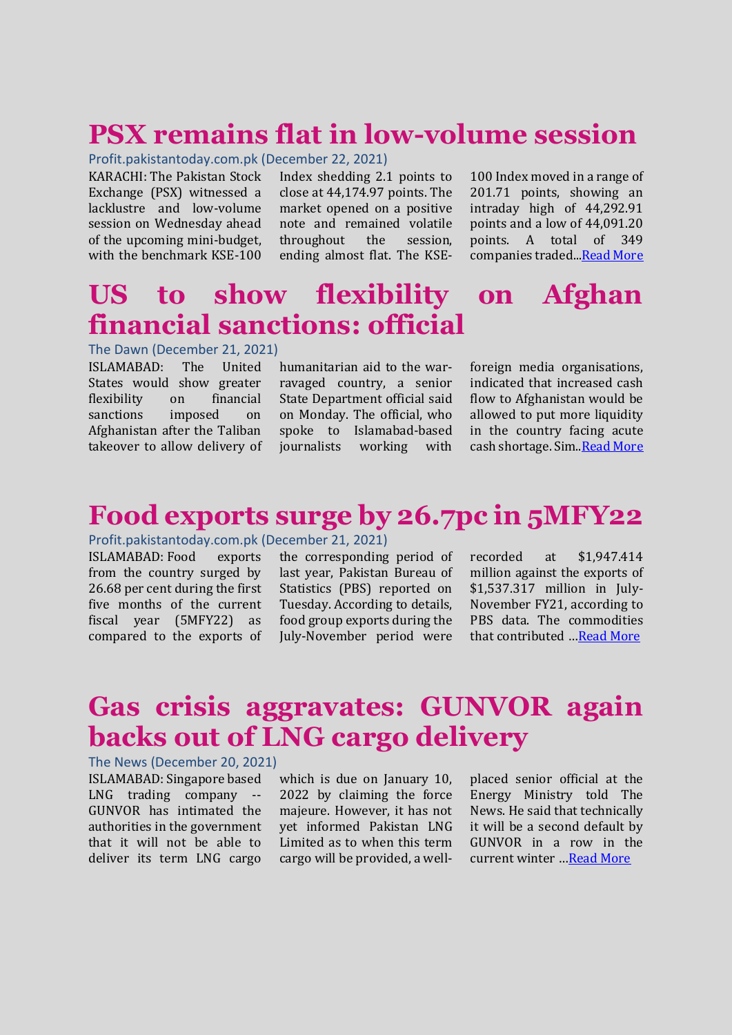# **PSX remains flat in low-volume session**

Profit.pakistantoday.com.pk (December 22, 2021)

KARACHI: The Pakistan Stock Exchange (PSX) witnessed a lacklustre and low-volume session on Wednesday ahead of the upcoming mini-budget, with the benchmark KSE-100

Index shedding 2.1 points to close at 44,174.97 points. The market opened on a positive note and remained volatile throughout the session, ending almost flat. The KSE-

100 Index moved in a range of 201.71 points, showing an intraday high of 44,292.91 points and a low of 44,091.20 points. A total of 349 companies traded.[..Read More](https://profit.pakistantoday.com.pk/2021/12/22/psx-remains-flat-in-low-volume-session/)

## **US to show flexibility on Afghan financial sanctions: official**

#### The Dawn (December 21, 2021)

ISLAMABAD: The United States would show greater flexibility on financial sanctions imposed on Afghanistan after the Taliban takeover to allow delivery of

humanitarian aid to the warravaged country, a senior State Department official said on Monday. The official, who spoke to Islamabad-based journalists working with foreign media organisations, indicated that increased cash flow to Afghanistan would be allowed to put more liquidity in the country facing acute cash shortage. Sim.[.Read More](https://www.dawn.com/news/1664928)

### **Food exports surge by 26.7pc in 5MFY22**

#### Profit.pakistantoday.com.pk (December 21, 2021)

ISLAMABAD: Food exports from the country surged by 26.68 per cent during the first five months of the current fiscal year (5MFY22) as compared to the exports of

the corresponding period of last year, Pakistan Bureau of Statistics (PBS) reported on Tuesday. According to details, food group exports during the July-November period were recorded at \$1,947.414 million against the exports of \$1,537,317 million in July-November FY21, according to PBS data. The commodities that contributed …[Read More](https://profit.pakistantoday.com.pk/2021/12/21/food-exports-surge-by-26-7pc-in-5mfy22/)

### **Gas crisis aggravates: GUNVOR again backs out of LNG cargo delivery**

#### The News (December 20, 2021)

ISLAMABAD: Singapore based LNG trading company -- GUNVOR has intimated the authorities in the government that it will not be able to deliver its term LNG cargo

which is due on January 10, 2022 by claiming the force majeure. However, it has not yet informed Pakistan LNG Limited as to when this term cargo will be provided, a wellplaced senior official at the Energy Ministry told The News. He said that technically it will be a second default by GUNVOR in a row in the current winter …[Read More](https://www.thenews.com.pk/print/918251-gas-crisis-aggravates-gunvor-again-backs-out-of-lng-cargo-delivery)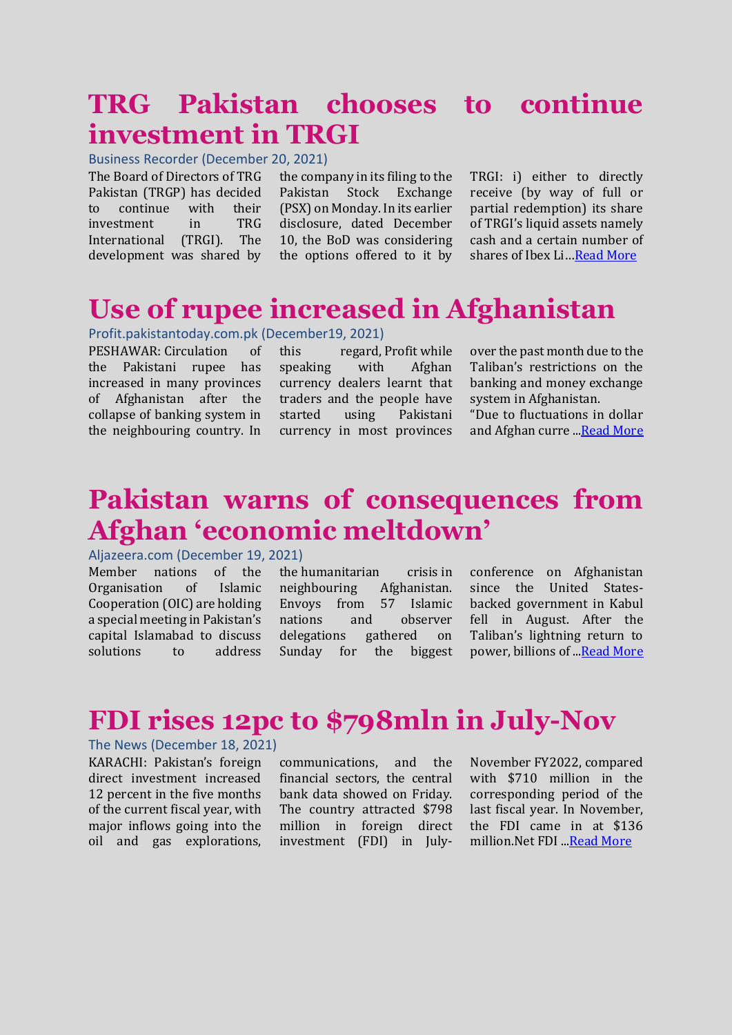## **TRG Pakistan chooses to continue investment in TRGI**

Business Recorder (December 20, 2021)

The Board of Directors of TRG Pakistan (TRGP) has decided to continue with their investment in TRG International (TRGI). The development was shared by

the company in its filing to the Pakistan Stock Exchange (PSX) on Monday. In its earlier disclosure, dated December 10, the BoD was considering the options offered to it by

TRGI: i) either to directly receive (by way of full or partial redemption) its share of TRGI's liquid assets namely cash and a certain number of shares of Ibex Li…[Read More](https://www.brecorder.com/news/40141327)

# **Use of rupee increased in Afghanistan**

### Profit.pakistantoday.com.pk (December19, 2021)

PESHAWAR: Circulation of the Pakistani rupee has increased in many provinces of Afghanistan after the collapse of banking system in the neighbouring country. In

this regard, Profit while speaking with Afghan currency dealers learnt that traders and the people have started using Pakistani currency in most provinces over the past month due to the Taliban's restrictions on the banking and money exchange system in Afghanistan.

"Due to fluctuations in dollar and Afghan curre .[..Read More](https://profit.pakistantoday.com.pk/2021/12/19/use-of-rupee-increased-in-afghanistan/)

### **Pakistan warns of consequences from Afghan 'economic meltdown'**

Aljazeera.com (December 19, 2021)

Member nations of the Organisation of Islamic Cooperation (OIC) are holding a special meeting in Pakistan's capital Islamabad to discuss solutions to address

the [humanitarian crisis](https://www.aljazeera.com/news/2021/8/30/infographic-afghanistans-humanitarian-crisis-interactive) in neighbouring Afghanistan. Envoys from 57 Islamic nations and observer<br>delegations gathered on delegations gathered on Sunday for the biggest

conference on Afghanistan since the United Statesbacked government in Kabul fell in August. After the Taliban's lightning return to power, billions of .[..Read More](https://www.aljazeera.com/news/2021/12/19/islamic-countries-hold-meeting-to-discuss-aid-to-afghanistan)

### **FDI rises 12pc to \$798mln in July-Nov**

### The News (December 18, 2021)

KARACHI: Pakistan's foreign direct investment increased 12 percent in the five months of the current fiscal year, with major inflows going into the oil and gas explorations,

communications, and the financial sectors, the central bank data showed on Friday. The country attracted \$798 million in foreign direct investment (FDI) in July-

November FY2022, compared with \$710 million in the corresponding period of the last fiscal year. In November, the FDI came in at \$136 million.Net FDI .[..Read More](https://www.thenews.com.pk/print/917661-fdi-rises-12pc-to-798mln-in-july-nov)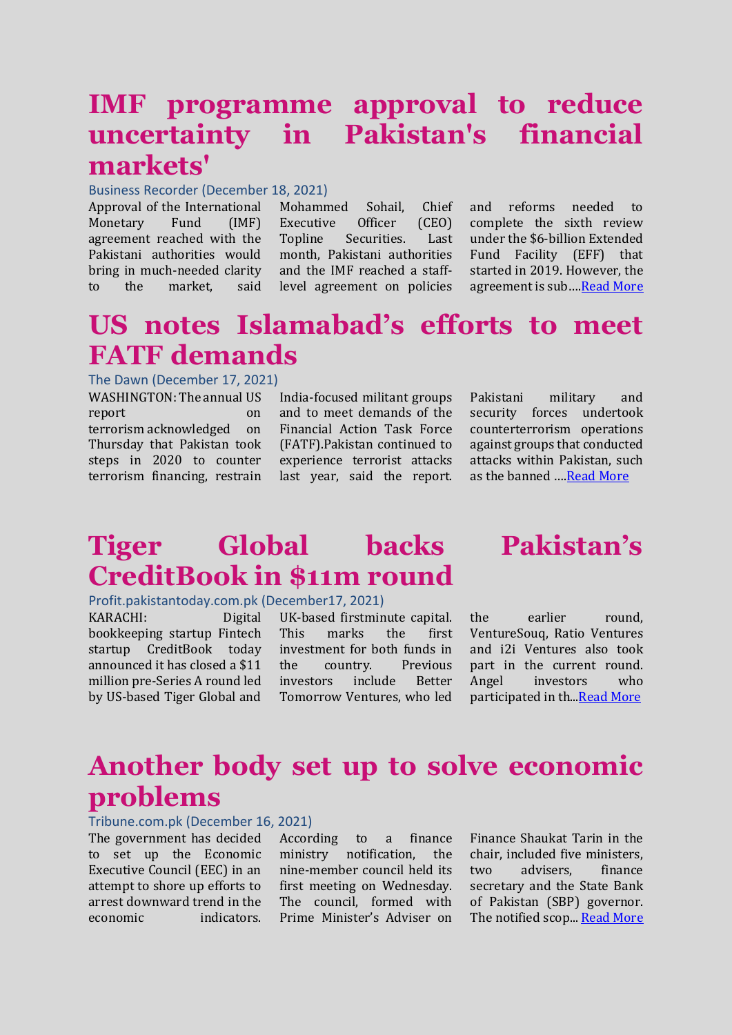## **IMF programme approval to reduce uncertainty in Pakistan's financial markets'**

#### Business Recorder (December 18, 2021)

Approval of the International Monetary Fund (IMF) agreement reached with the Pakistani authorities would bring in much-needed clarity to the market, said

Mohammed Sohail, Chief Executive Officer (CEO) Topline Securities. Last month, Pakistani authorities and the IMF reached a stafflevel agreement on policies

and reforms needed to complete the sixth review under the \$6-billion Extended Fund Facility (EFF) that started in 2019. However, the agreement is sub….[Read More](https://www.brecorder.com/news/40141013)

# **US notes Islamabad's efforts to meet FATF demands**

The Dawn (December 17, 2021) WASHINGTON: The annual [US](https://www.state.gov/reports/country-reports-on-terrorism-2020/)  [report on](https://www.state.gov/reports/country-reports-on-terrorism-2020/) on [terrorism](https://www.state.gov/reports/country-reports-on-terrorism-2020/) acknowledged on Thursday that Pakistan took steps in 2020 to counter terrorism financing, restrain

India-focused militant groups and to meet demands of the Financial Action Task Force (FATF).Pakistan continued to experience terrorist attacks last year, said the report. Pakistani military and security forces undertook counterterrorism operations against groups that conducted attacks within Pakistan, such as the banned …[.Read More](https://www.dawn.com/news/1664285)

### **Tiger Global backs Pakistan's CreditBook in \$11m round**

### Profit.pakistantoday.com.pk (December17, 2021)

KARACHI: Digital bookkeeping startup Fintech startup CreditBook today announced it has closed a \$11 million pre-Series A round led by US-based Tiger Global and

UK-based firstminute capital. This marks the first investment for both funds in the country. Previous investors include Better Tomorrow Ventures, who led

the earlier round, VentureSouq, Ratio Ventures and i2i Ventures also took part in the current round. Angel investors who participated in th.[..Read More](https://profit.pakistantoday.com.pk/2021/12/17/tiger-global-backs-pakistans-creditbook-in-11m-round/)

## **Another body set up to solve economic problems**

### Tribune.com.pk (December 16, 2021)

The government has decided to set up the Economic Executive Council (EEC) in an attempt to shore up efforts to arrest downward trend in the economic indicators.

According to a finance ministry notification, the nine-member council held its first meeting on Wednesday. The council, formed with Prime Minister's Adviser on Finance Shaukat Tarin in the chair, included five ministers, two advisers, finance secretary and the State Bank of Pakistan (SBP) governor. The notified scop..[. Read More](https://tribune.com.pk/story/2334151/another-body-set-up-to-solve-economic-problems)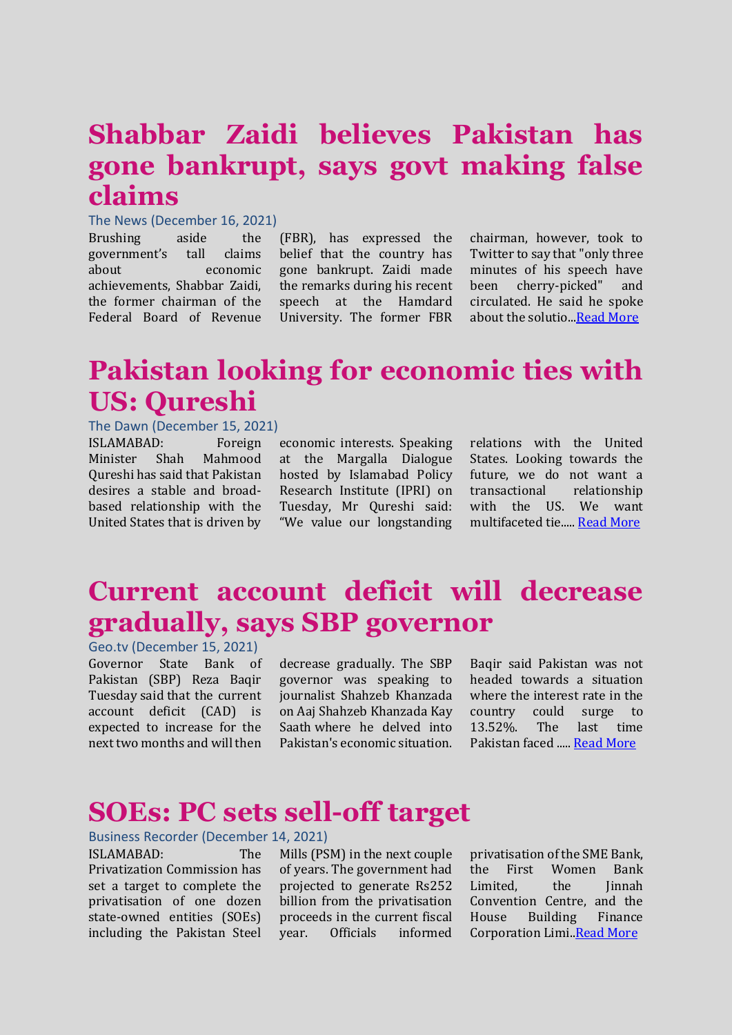## **Shabbar Zaidi believes Pakistan has gone bankrupt, says govt making false claims**

#### The News (December 16, 2021)

Brushing aside the government's tall claims about economic achievements, Shabbar Zaidi, the former chairman of the Federal Board of Revenue

(FBR), has expressed the belief that the country has gone bankrupt. Zaidi made the remarks during his recent speech at the Hamdard University. The former FBR chairman, however, took to Twitter to say that "only three minutes of his speech have been cherry-picked" and circulated. He said he spoke about the solutio.[..Read More](https://www.thenews.com.pk/latest/917239-shabbar-zaidi-believes-pakistan-has-gone-bankrupt-says-govt-making-false-claims)

# **Pakistan looking for economic ties with US: Qureshi**

The Dawn (December 15, 2021)

ISLAMABAD: Foreign Minister Shah Mahmood Qureshi has said that Pakistan desires a stable and broadbased relationship with the United States that is driven by

economic interests. Speaking at the Margalla Dialogue hosted by Islamabad Policy Research Institute (IPRI) on Tuesday, Mr Qureshi said: "We value our longstanding

relations with the United States. Looking towards the future, we do not want a transactional relationship with the US. We want multifaceted tie..... [Read More](https://www.dawn.com/news/1663833)

# **Current account deficit will decrease gradually, says SBP governor**

Geo.tv (December 15, 2021) Governor State Bank of Pakistan (SBP) Reza Baqir Tuesday [said](https://www.thenews.com.pk/print/916905-cad-to-go-up-for-two-months-then-come-down-gradually-reza) that the current account deficit (CAD) is expected to increase for the next two months and will then

decrease gradually. The SBP governor was speaking to journalist Shahzeb Khanzada on Aaj Shahzeb Khanzada Kay Saath where he delved into Pakistan's economic situation. Baqir said Pakistan was not headed towards a situation where the interest rate in the country could surge to 13.52%. The last time Pakistan faced ....[. Read More](https://www.geo.tv/latest/387746-sbp-governor-says-current-account-deficit-will-go-down-gradually)

### **SOEs: PC sets sell-off target**

Business Recorder (December 14, 2021)

ISLAMABAD: The Privatization Commission has set a target to complete the privatisation of one dozen state-owned entities (SOEs) including the Pakistan Steel

Mills (PSM) in the next couple of years. The government had projected to generate Rs252 billion from the privatisation proceeds in the current fiscal year. Officials informed privatisation of the SME Bank, the First Women Bank Limited. the Iinnah Convention Centre, and the House Building Finance Corporation Limi.[.Read More](https://www.brecorder.com/news/40139926)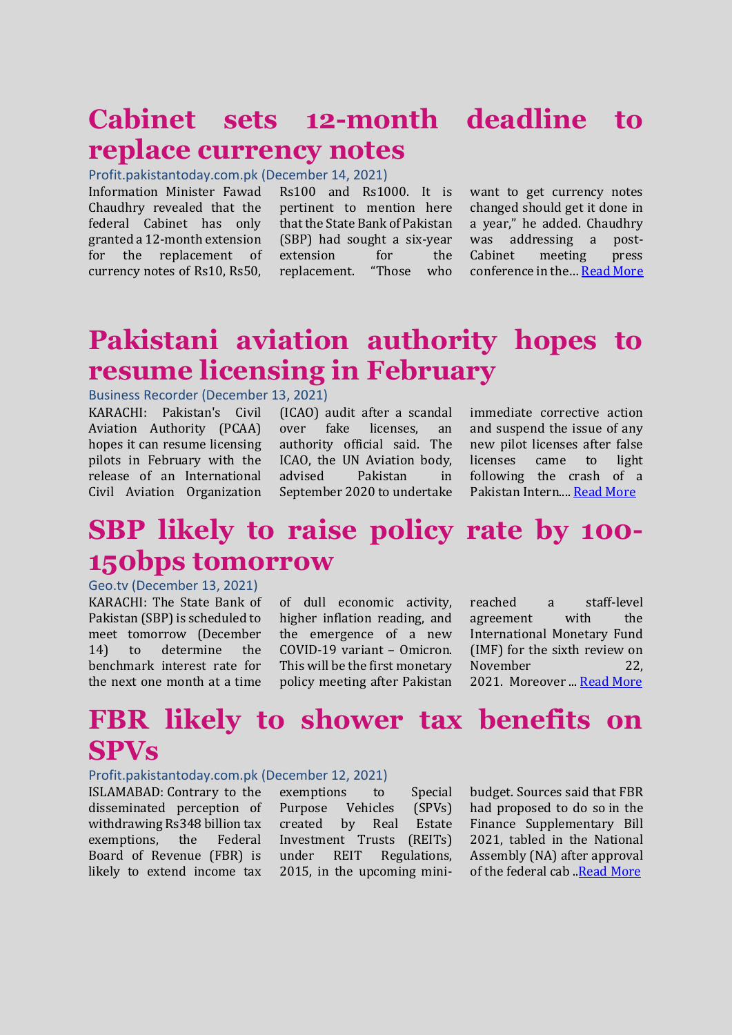## **Cabinet sets 12-month deadline to replace currency notes**

#### Profit.pakistantoday.com.pk (December 14, 2021)

Information Minister Fawad Chaudhry revealed that the federal Cabinet has only granted a 12-month extension for the replacement of currency notes of Rs10, Rs50,

Rs100 and Rs1000. It is pertinent to mention here that the State Bank of Pakistan (SBP) had sought a six-year extension for the replacement. "Those who

want to get currency notes changed should get it done in a year," he added. Chaudhry was addressing a post-Cabinet meeting press conference in the… [Read More](https://profit.pakistantoday.com.pk/2021/12/14/cabinet-sets-12-month-deadline-to-replace-currency-notes/)

### **Pakistani aviation authority hopes to resume licensing in February**

### Business Recorder (December 13, 2021)

KARACHI: Pakistan's Civil Aviation Authority (PCAA) hopes it can resume licensing pilots in February with the release of an International Civil Aviation Organization

(ICAO) audit after a scandal over fake licenses, an authority official said. The ICAO, the UN Aviation body, advised Pakistan in September 2020 to undertake immediate corrective action and suspend the issue of any new pilot licenses after false licenses came to light following the crash of a Pakistan Intern...[. Read More](https://www.brecorder.com/news/40139719)

# **SBP likely to raise policy rate by 100- 150bps tomorrow**

Geo.tv (December 13, 2021) KARACHI: The State Bank of Pakistan (SBP) is scheduled to meet tomorrow (December 14) to determine the benchmark interest rate for the next one month at a time

of dull economic activity, higher inflation reading, and the emergence of a new COVID-19 variant – Omicron. This will be the first monetary policy meeting after Pakistan reached a staff-level agreement with the International Monetary Fund (IMF) for the sixth review on November 22. 2021. Moreover ... [Read More](https://www.geo.tv/latest/387488-sbp-likely-to-raise-its-policy-rate-by-100-150bpps-tomorrow)

### **FBR likely to shower tax benefits on SPVs**

### Profit.pakistantoday.com.pk (December 12, 2021)

ISLAMABAD: Contrary to the disseminated perception of withdrawing Rs348 billion tax exemptions, the Federal Board of Revenue (FBR) is likely to extend income tax

exemptions to Special Purpose Vehicles (SPVs) created by Real Estate Investment Trusts (REITs) under REIT Regulations, 2015, in the upcoming minibudget. Sources said that FBR had proposed to do so in the Finance Supplementary Bill 2021, tabled in the National Assembly (NA) after approval of the federal cab [..Read More](https://profit.pakistantoday.com.pk/2021/12/12/fbr-likely-to-shower-tax-benefits-on-spvs/)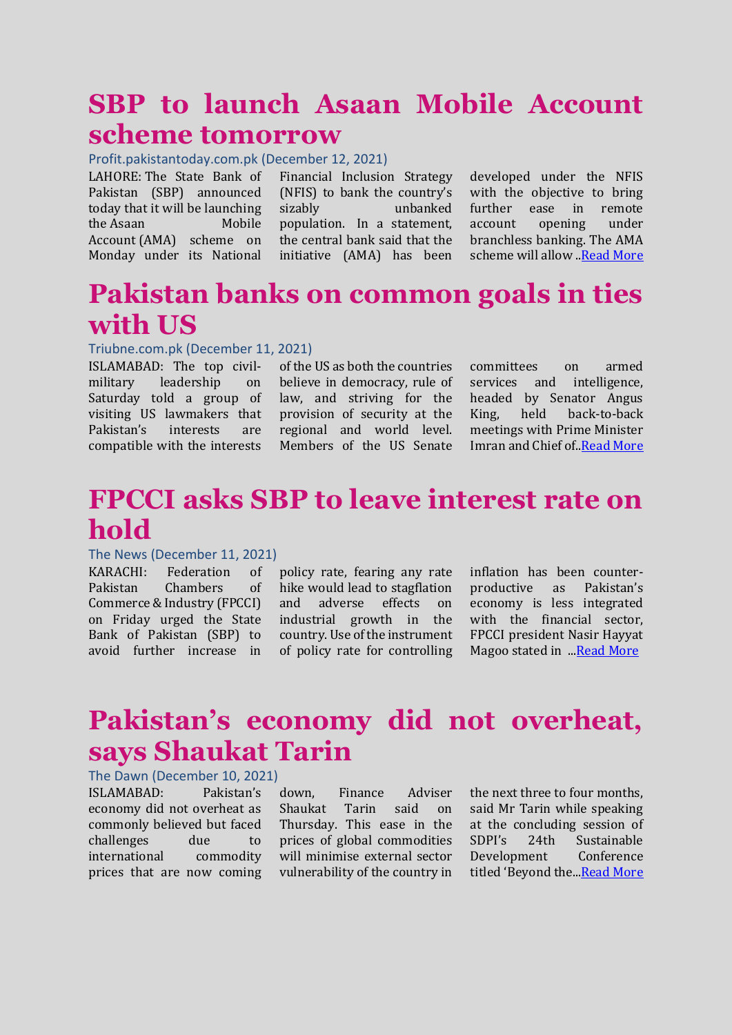### **SBP to launch Asaan Mobile Account scheme tomorrow**

#### Profit.pakistantoday.com.pk (December 12, 2021)

LAHORE: The State Bank of Pakistan (SBP) announced today that it will be launching the [Asaan Mobile](https://profit.pakistantoday.com.pk/2020/08/01/sorry-jazzcash-the-fintech-revolution-for-the-unbanked-is-finally-here/)  [Account](https://profit.pakistantoday.com.pk/2020/08/01/sorry-jazzcash-the-fintech-revolution-for-the-unbanked-is-finally-here/) (AMA) scheme on Monday under its National

Financial Inclusion Strategy (NFIS) to bank the country's sizably unbanked population. In a statement, the central bank said that the initiative (AMA) has been

developed under the NFIS with the objective to bring further ease in remote account opening under branchless banking. The AMA scheme will allow [..Read More](https://profit.pakistantoday.com.pk/2021/12/12/sbp-to-launch-asaan-mobile-account-scheme-tomorrow/)

### **Pakistan banks on common goals in ties with US**

#### Triubne.com.pk (December 11, 2021)

ISLAMABAD: The top civilmilitary leadership on Saturday told a group of visiting US lawmakers that Pakistan's interests are compatible with the interests

of the US as both the countries believe in democracy, rule of law, and striving for the provision of security at the regional and world level. Members of the US Senate

committees on armed services and intelligence, headed by Senator Angus King, held back-to-back meetings with Prime Minister Imran and Chief of.[.Read More](https://profit.pakistantoday.com.pk/2021/11/28/punjab-to-activate-online-portal-for-monitoring-urea-supply-chain/)

# **FPCCI asks SBP to leave interest rate on hold**

### The News (December 11, 2021)

KARACHI: Federation of Pakistan Chambers of Commerce & Industry (FPCCI) on Friday urged the State Bank of Pakistan (SBP) to avoid further increase in

policy rate, fearing any rate hike would lead to stagflation and adverse effects on industrial growth in the country. Use of the instrument of policy rate for controlling inflation has been counterproductive as Pakistan's economy is less integrated with the financial sector, FPCCI president Nasir Hayyat Magoo stated in ... Read More

## **Pakistan's economy did not overheat, says Shaukat Tarin**

### The Dawn (December 10, 2021)

ISLAMABAD: Pakistan's economy did not overheat as commonly believed but faced challenges due to international commodity prices that are now coming down, Finance Adviser Shaukat Tarin said on Thursday. This ease in the prices of global commodities will minimise external sector vulnerability of the country in

the next three to four months, said Mr Tarin while speaking at the concluding session of SDPI's 24th Sustainable Development Conference titled 'Beyond the...[Read More](https://www.dawn.com/news/1662950)